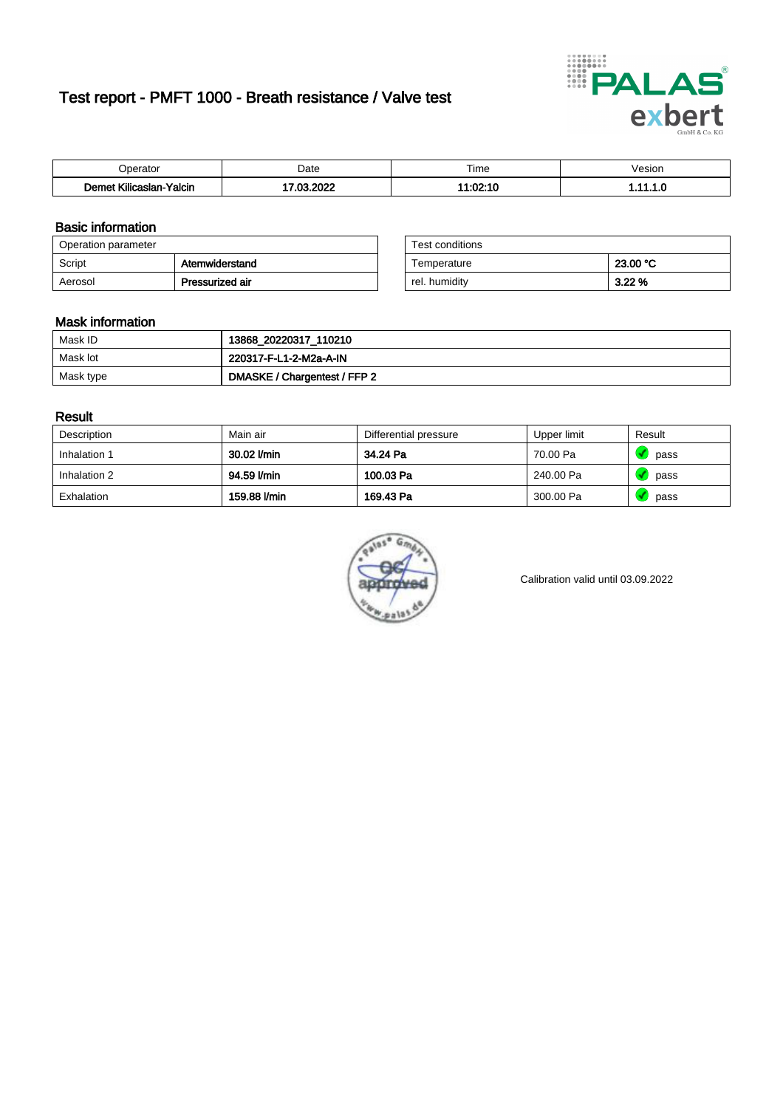# Test report - PMFT 1000 - Breath resistance / Valve test



| <b>'</b> perator                                          | Date | $- \cdot$<br>l ime | esion |
|-----------------------------------------------------------|------|--------------------|-------|
| -<br><b>SAME</b><br>Yalcin<br>aslan<br>KIIIC <sup>-</sup> | 000  | .<br>.uz. i u      | .     |

### Basic information

| Operation parameter |                 | Test conditions |          |
|---------------------|-----------------|-----------------|----------|
| Script              | Atemwiderstand  | Temperature     | 23.00 °C |
| Aerosol             | Pressurized air | rel. humidity   | 3.22%    |

| Test conditions |          |
|-----------------|----------|
| Temperature     | 23.00 °C |
| rel. humidity   | 3.22%    |

#### Mask information

| Mask ID   | 13868_20220317_110210        |
|-----------|------------------------------|
| Mask lot  | 220317-F-L1-2-M2a-A-IN       |
| Mask type | DMASKE / Chargentest / FFP 2 |

### Result

| Description  | Main air     | Differential pressure | Upper limit | Result |
|--------------|--------------|-----------------------|-------------|--------|
| Inhalation 1 | 30.02 l/min  | 34.24 Pa              | 70.00 Pa    | pass   |
| Inhalation 2 | 94.59 l/min  | 100.03 Pa             | 240.00 Pa   | pass   |
| Exhalation   | 159.88 l/min | 169.43 Pa             | 300.00 Pa   | pass   |



Calibration valid until 03.09.2022